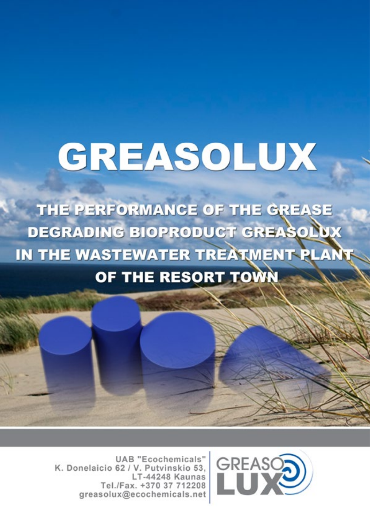# GREASOLUX

THE PERFORMANCE OF THE GREASE **DEGRADING BIOPRODUCT GREASOLUX** IN THE WASTEWATER TREATMENT PLAN OF THE RESORT TOWN

> **UAB** "Ecochemicals" K. Donelaicio 62 / V. Putvinskio 53, LT-44248 Kaunas Tel./Fax. +370 37 712208 greasolux@ecochemicals.net

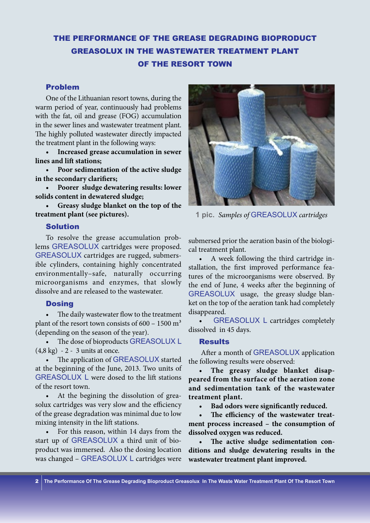## THE PERFORMANCE OF THE GREASE DEGRADING BIOPRODUCT GREASOLUX IN THE WASTEWATER TREATMENT PLANT OF THE RESORT TOWN

#### Problem

One of the Lithuanian resort towns, during the warm period of year, continuously had problems with the fat, oil and grease (FOG) accumulation in the sewer lines and wastewater treatment plant. The highly polluted wastewater directly impacted the treatment plant in the following ways:

**• Increased grease accumulation in sewer lines and lift stations;**

**• Poor sedimentation of the active sludge in the secondary clarifiers;**

**• Poorer sludge dewatering results: lower solids content in dewatered sludge;** 

**• Greasy sludge blanket on the top of the treatment plant (see pictures).**

#### Solution

To resolve the grease accumulation problems GREASOLUX cartridges were proposed. GREASOLUX cartridges are rugged, submersible cylinders, containing highly concentrated environmentally–safe, naturally occurring microorganisms and enzymes, that slowly dissolve and are released to the wastewater.

#### **Dosing**

The daily wastewater flow to the treatment plant of the resort town consists of  $600 - 1500$  m<sup>3</sup> (depending on the season of the year).

The dose of bioproducts GREASOLUX L (4,8 kg) - 2 - 3 units at once.

The application of GREASOLUX started at the beginning of the June, 2013. Two units of GREASOLUX L were dosed to the lift stations of the resort town.

At the begining the dissolution of greasolux cartridges was very slow and the efficiency of the grease degradation was minimal due to low mixing intensity in the lift stations.

For this reason, within 14 days from the start up of GREASOLUX a third unit of bioproduct was immersed. Also the dosing location was changed – GREASOLUX L cartridges were



**1 pic.** *Samples of* GREASOLUX *cartridges*

submersed prior the aeration basin of the biological treatment plant.

A week following the third cartridge installation, the first improved performance features of the microorganisms were observed. By the end of June, 4 weeks after the beginning of GREASOLUX usage, the greasy sludge blanket on the top of the aeration tank had completely disappeared.

**GREASOLUX L cartridges completely** dissolved in 45 days.

#### Results

 After a month of GREASOLUX application the following results were observed:

The greasy sludge blanket disap**peared from the surface of the aeration zone and sedimentation tank of the wastewater treatment plant.**

**• Bad odors were significantly reduced.**

**• The efficiency of the wastewater treatment process increased – the consumption of dissolved oxygen was reduced.**

The active sludge sedimentation con**ditions and sludge dewatering results in the wastewater treatment plant improved.**